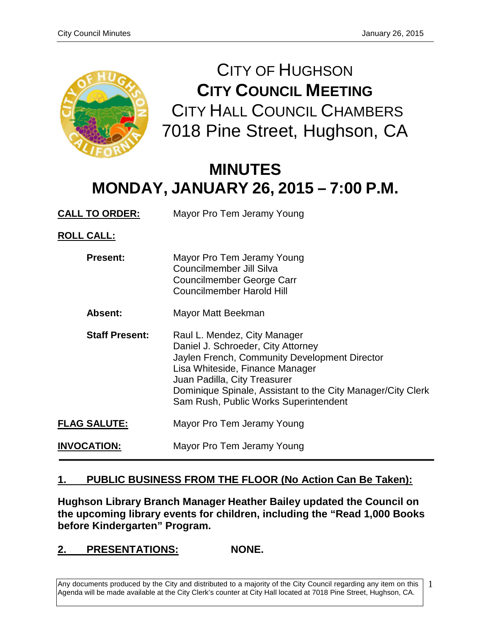

CITY OF HUGHSON **CITY COUNCIL MEETING** CITY HALL COUNCIL CHAMBERS 7018 Pine Street, Hughson, CA

# **MINUTES MONDAY, JANUARY 26, 2015 – 7:00 P.M.**

**CALL TO ORDER:** Mayor Pro Tem Jeramy Young **ROLL CALL:**

| <b>Present:</b>       | Mayor Pro Tem Jeramy Young<br>Councilmember Jill Silva<br>Councilmember George Carr<br>Councilmember Harold Hill                                                                                                                                                                               |
|-----------------------|------------------------------------------------------------------------------------------------------------------------------------------------------------------------------------------------------------------------------------------------------------------------------------------------|
| Absent:               | Mayor Matt Beekman                                                                                                                                                                                                                                                                             |
| <b>Staff Present:</b> | Raul L. Mendez, City Manager<br>Daniel J. Schroeder, City Attorney<br>Jaylen French, Community Development Director<br>Lisa Whiteside, Finance Manager<br>Juan Padilla, City Treasurer<br>Dominique Spinale, Assistant to the City Manager/City Clerk<br>Sam Rush, Public Works Superintendent |
| <b>FLAG SALUTE:</b>   | Mayor Pro Tem Jeramy Young                                                                                                                                                                                                                                                                     |
| <b>INVOCATION:</b>    | Mayor Pro Tem Jeramy Young                                                                                                                                                                                                                                                                     |

# **1. PUBLIC BUSINESS FROM THE FLOOR (No Action Can Be Taken):**

**Hughson Library Branch Manager Heather Bailey updated the Council on the upcoming library events for children, including the "Read 1,000 Books before Kindergarten" Program.** 

**2. PRESENTATIONS: NONE.**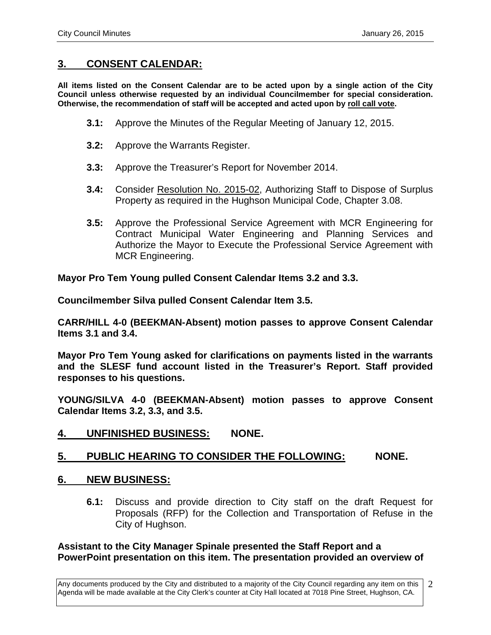# **3. CONSENT CALENDAR:**

**All items listed on the Consent Calendar are to be acted upon by a single action of the City Council unless otherwise requested by an individual Councilmember for special consideration. Otherwise, the recommendation of staff will be accepted and acted upon by roll call vote.**

- **3.1:** Approve the Minutes of the Regular Meeting of January 12, 2015.
- **3.2:** Approve the Warrants Register.
- **3.3:** Approve the Treasurer's Report for November 2014.
- **3.4:** Consider Resolution No. 2015-02, Authorizing Staff to Dispose of Surplus Property as required in the Hughson Municipal Code, Chapter 3.08.
- **3.5:** Approve the Professional Service Agreement with MCR Engineering for Contract Municipal Water Engineering and Planning Services and Authorize the Mayor to Execute the Professional Service Agreement with MCR Engineering.

**Mayor Pro Tem Young pulled Consent Calendar Items 3.2 and 3.3.**

**Councilmember Silva pulled Consent Calendar Item 3.5.** 

**CARR/HILL 4-0 (BEEKMAN-Absent) motion passes to approve Consent Calendar Items 3.1 and 3.4.**

**Mayor Pro Tem Young asked for clarifications on payments listed in the warrants and the SLESF fund account listed in the Treasurer's Report. Staff provided responses to his questions.**

**YOUNG/SILVA 4-0 (BEEKMAN-Absent) motion passes to approve Consent Calendar Items 3.2, 3.3, and 3.5.** 

# **4. UNFINISHED BUSINESS: NONE.**

# **5. PUBLIC HEARING TO CONSIDER THE FOLLOWING: NONE.**

## **6. NEW BUSINESS:**

**6.1:** Discuss and provide direction to City staff on the draft Request for Proposals (RFP) for the Collection and Transportation of Refuse in the City of Hughson.

### **Assistant to the City Manager Spinale presented the Staff Report and a PowerPoint presentation on this item. The presentation provided an overview of**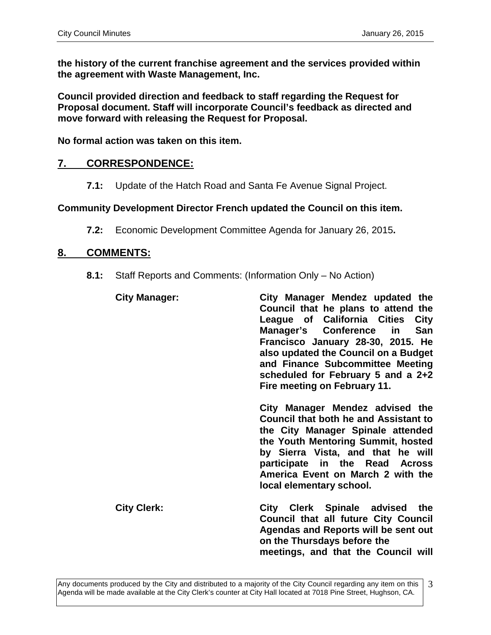**the history of the current franchise agreement and the services provided within the agreement with Waste Management, Inc.** 

**Council provided direction and feedback to staff regarding the Request for Proposal document. Staff will incorporate Council's feedback as directed and move forward with releasing the Request for Proposal.** 

**No formal action was taken on this item.** 

## **7. CORRESPONDENCE:**

**7.1:** Update of the Hatch Road and Santa Fe Avenue Signal Project.

### **Community Development Director French updated the Council on this item.**

**7.2:** Economic Development Committee Agenda for January 26, 2015**.** 

## **8. COMMENTS:**

**8.1:** Staff Reports and Comments: (Information Only – No Action)

| <b>City Manager:</b> | City Manager Mendez updated the<br>Council that he plans to attend the<br>League of California Cities<br><b>City</b><br>Manager's Conference in<br>San<br>Francisco January 28-30, 2015. He<br>also updated the Council on a Budget<br>and Finance Subcommittee Meeting<br>scheduled for February 5 and a 2+2<br>Fire meeting on February 11. |
|----------------------|-----------------------------------------------------------------------------------------------------------------------------------------------------------------------------------------------------------------------------------------------------------------------------------------------------------------------------------------------|
|                      | City Manager Mendez advised the<br><b>Council that both he and Assistant to</b><br>the City Manager Spinale attended<br>the Youth Mentoring Summit, hosted<br>by Sierra Vista, and that he will<br>participate in the Read Across<br>America Event on March 2 with the<br>local elementary school.                                            |
| <b>City Clerk:</b>   | City Clerk Spinale advised the<br>Council that all future City Council<br><b>Agendas and Reports will be sent out</b><br>on the Thursdays before the<br>meetings, and that the Council will                                                                                                                                                   |

<sup>3</sup>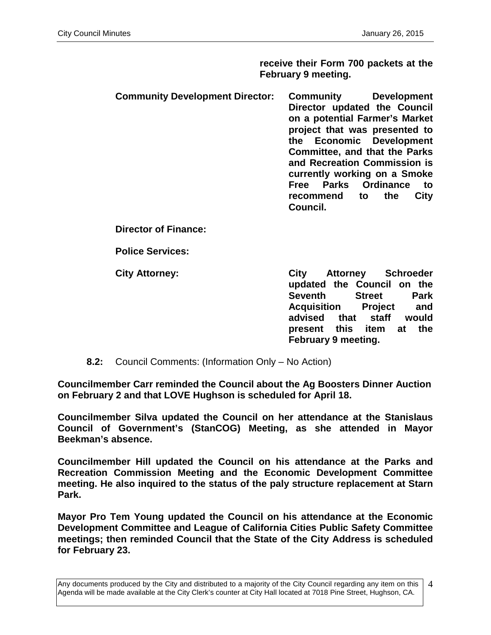**receive their Form 700 packets at the February 9 meeting.** 

**Community Development Director: Community Development Director updated the Council on a potential Farmer's Market project that was presented to the Economic Development Committee, and that the Parks and Recreation Commission is currently working on a Smoke Free Parks Ordinance to recommend to the City Council.**

**Director of Finance:**

**Police Services:**

**City Attorney: City Attorney Schroeder updated the Council on the Seventh Acquisition Project and advised that staff would present this item at the February 9 meeting.** 

**8.2:** Council Comments: (Information Only – No Action)

**Councilmember Carr reminded the Council about the Ag Boosters Dinner Auction on February 2 and that LOVE Hughson is scheduled for April 18.**

**Councilmember Silva updated the Council on her attendance at the Stanislaus Council of Government's (StanCOG) Meeting, as she attended in Mayor Beekman's absence.** 

**Councilmember Hill updated the Council on his attendance at the Parks and Recreation Commission Meeting and the Economic Development Committee meeting. He also inquired to the status of the paly structure replacement at Starn Park.** 

**Mayor Pro Tem Young updated the Council on his attendance at the Economic Development Committee and League of California Cities Public Safety Committee meetings; then reminded Council that the State of the City Address is scheduled for February 23.**